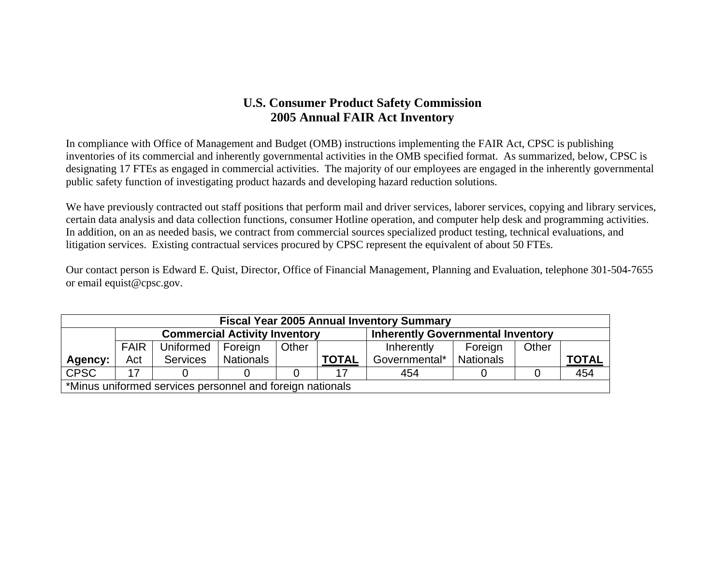## **U.S. Consumer Product Safety Commission 2005 Annual FAIR Act Inventory**

In compliance with Office of Management and Budget (OMB) instructions implementing the FAIR Act, CPSC is publishing inventories of its commercial and inherently governmental activities in the OMB specified format. As summarized, below, CPSC is designating 17 FTEs as engaged in commercial activities. The majority of our employees are engaged in the inherently governmental public safety function of investigating product hazards and developing hazard reduction solutions.

We have previously contracted out staff positions that perform mail and driver services, laborer services, copying and library services, certain data analysis and data collection functions, consumer Hotline operation, and computer help desk and programming activities. In addition, on an as needed basis, we contract from commercial sources specialized product testing, technical evaluations, and litigation services. Existing contractual services procured by CPSC represent the equivalent of about 50 FTEs.

Our contact person is Edward E. Quist, Director, Office of Financial Management, Planning and Evaluation, telephone 301-504-7655 or email equist@cpsc.gov.

| <b>Fiscal Year 2005 Annual Inventory Summary</b>          |             |                                      |                  |       |                                          |               |                  |       |              |  |  |
|-----------------------------------------------------------|-------------|--------------------------------------|------------------|-------|------------------------------------------|---------------|------------------|-------|--------------|--|--|
|                                                           |             | <b>Commercial Activity Inventory</b> |                  |       | <b>Inherently Governmental Inventory</b> |               |                  |       |              |  |  |
|                                                           | <b>FAIR</b> | Uniformed   Foreign                  |                  | Other |                                          | Inherently    | Foreign          | Other |              |  |  |
| Agency:                                                   | Act         | <b>Services</b>                      | <b>Nationals</b> |       | <b>TOTAL</b>                             | Governmental* | <b>Nationals</b> |       | <u>TOTAL</u> |  |  |
| <b>CPSC</b>                                               | 17          |                                      |                  |       |                                          | 454           |                  |       | 454          |  |  |
| *Minus uniformed services personnel and foreign nationals |             |                                      |                  |       |                                          |               |                  |       |              |  |  |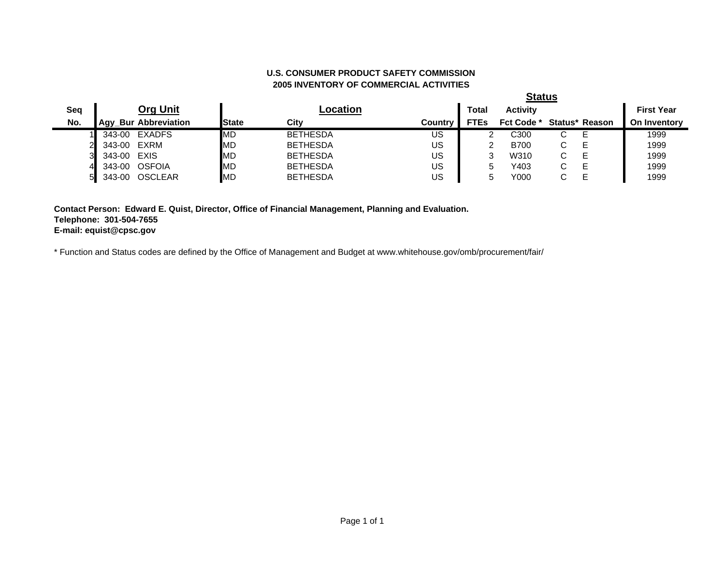## **2005 INVENTORY OF COMMERCIAL ACTIVITIES U.S. CONSUMER PRODUCT SAFETY COMMISSION**

**Status**

|     |        |                             |              |                 |         |             | σιαιυσ            |                      |                |                     |
|-----|--------|-----------------------------|--------------|-----------------|---------|-------------|-------------------|----------------------|----------------|---------------------|
| Sea |        | <b>Org Unit</b>             |              | -ocation        |         | Total       | <b>Activity</b>   |                      |                | <b>First Year</b>   |
| No. |        | <b>Agy Bur Abbreviation</b> | <b>State</b> | City            | Countrv | <b>FTEs</b> | <b>Fct Code *</b> |                      | Status* Reason | <b>On Inventory</b> |
|     | 343-00 | EXADFS                      | MD           | <b>BETHESDA</b> | US      |             | C300              | U                    |                | 1999                |
|     | 343-00 | EXRM                        | MD           | <b>BETHESDA</b> | US      |             | <b>B700</b>       | $\bullet$            |                | 1999                |
|     | 343-00 | EXIS                        | MD           | <b>BETHESDA</b> | US      |             | W310              | $\ddot{\phantom{0}}$ |                | 1999                |
| 4   | 343-00 | <b>OSFOIA</b>               | MD           | <b>BETHESDA</b> | US      |             | Y403              | $\ddot{\phantom{0}}$ |                | 1999                |
| 51  | 343-00 | <b>OSCLEAR</b>              | MD           | <b>BETHESDA</b> | US      |             | Y000              |                      |                | 1999                |

**Contact Person: Edward E. Quist, Director, Office of Financial Management, Planning and Evaluation. Telephone: 301-504-7655 E-mail: equist@cpsc.gov**

\* Function and Status codes are defined by the Office of Management and Budget at www.whitehouse.gov/omb/procurement/fair/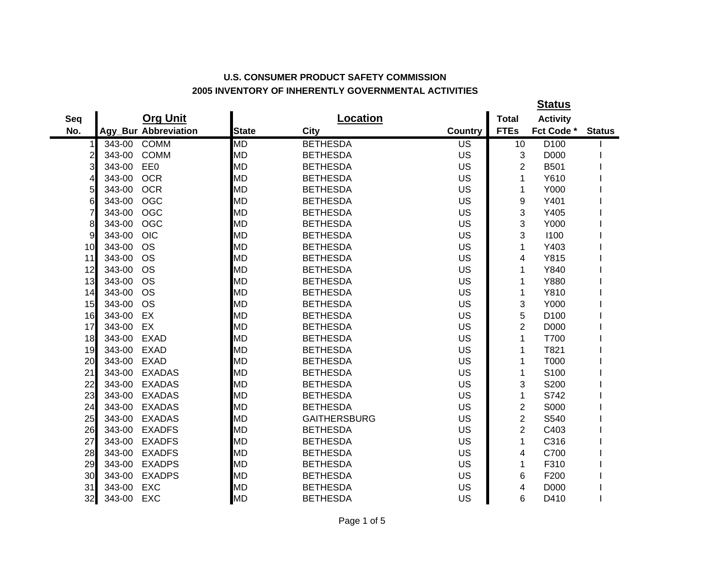## **U.S. CONSUMER PRODUCT SAFETY COMMISSION 2005 INVENTORY OF INHERENTLY GOVERNMENTAL ACTIVITIES**

|                |        |                      |              |                     |                 |                  | <b>Status</b>   |               |
|----------------|--------|----------------------|--------------|---------------------|-----------------|------------------|-----------------|---------------|
| Seq            |        | <b>Org Unit</b>      |              | <b>Location</b>     |                 | <b>Total</b>     | <b>Activity</b> |               |
| No.            |        | Agy_Bur Abbreviation | <b>State</b> | City                | <b>Country</b>  | <b>FTEs</b>      | Fct Code *      | <b>Status</b> |
| 1              | 343-00 | <b>COMM</b>          | <b>MD</b>    | <b>BETHESDA</b>     | $\overline{US}$ | 10               | D100            |               |
| $\overline{c}$ | 343-00 | <b>COMM</b>          | <b>MD</b>    | <b>BETHESDA</b>     | <b>US</b>       | 3                | D000            |               |
| 3              | 343-00 | EE0                  | <b>MD</b>    | <b>BETHESDA</b>     | US              | $\overline{2}$   | B501            |               |
| 4              | 343-00 | <b>OCR</b>           | <b>MD</b>    | <b>BETHESDA</b>     | US              | 1                | Y610            |               |
| 5              | 343-00 | <b>OCR</b>           | <b>MD</b>    | <b>BETHESDA</b>     | US              | 1                | Y000            |               |
| 6              | 343-00 | <b>OGC</b>           | <b>MD</b>    | <b>BETHESDA</b>     | US              | $\boldsymbol{9}$ | Y401            |               |
| $\overline{7}$ | 343-00 | <b>OGC</b>           | <b>MD</b>    | <b>BETHESDA</b>     | <b>US</b>       | 3                | Y405            |               |
| 8              | 343-00 | <b>OGC</b>           | <b>MD</b>    | <b>BETHESDA</b>     | US              | 3                | Y000            |               |
| 9              | 343-00 | <b>OIC</b>           | <b>MD</b>    | <b>BETHESDA</b>     | US              | 3                | 1100            |               |
| 10             | 343-00 | <b>OS</b>            | <b>MD</b>    | <b>BETHESDA</b>     | US              | 1                | Y403            |               |
| 11             | 343-00 | <b>OS</b>            | <b>MD</b>    | <b>BETHESDA</b>     | US              | 4                | Y815            |               |
| 12             | 343-00 | <b>OS</b>            | <b>MD</b>    | <b>BETHESDA</b>     | <b>US</b>       | 1                | Y840            |               |
| 13             | 343-00 | <b>OS</b>            | <b>MD</b>    | <b>BETHESDA</b>     | US              | 1                | Y880            |               |
| 14             | 343-00 | <b>OS</b>            | <b>MD</b>    | <b>BETHESDA</b>     | US              | 1                | Y810            |               |
| 15             | 343-00 | <b>OS</b>            | <b>MD</b>    | <b>BETHESDA</b>     | US              | 3                | Y000            |               |
| 16             | 343-00 | EX                   | <b>MD</b>    | <b>BETHESDA</b>     | US              | 5                | D100            |               |
| 17             | 343-00 | EX                   | <b>MD</b>    | <b>BETHESDA</b>     | US              | $\overline{2}$   | D000            |               |
| 18             | 343-00 | <b>EXAD</b>          | <b>MD</b>    | <b>BETHESDA</b>     | US              | 1                | T700            |               |
| 19             | 343-00 | <b>EXAD</b>          | <b>MD</b>    | <b>BETHESDA</b>     | US              | 1                | T821            |               |
| 20             | 343-00 | <b>EXAD</b>          | <b>MD</b>    | <b>BETHESDA</b>     | US              | 1                | T000            |               |
| 21             | 343-00 | <b>EXADAS</b>        | <b>MD</b>    | <b>BETHESDA</b>     | <b>US</b>       | 1                | S100            |               |
| 22             | 343-00 | <b>EXADAS</b>        | <b>MD</b>    | <b>BETHESDA</b>     | US              | 3                | S200            |               |
| 23             | 343-00 | <b>EXADAS</b>        | <b>MD</b>    | <b>BETHESDA</b>     | US              | 1                | S742            |               |
| 24             | 343-00 | <b>EXADAS</b>        | <b>MD</b>    | <b>BETHESDA</b>     | US              | $\overline{c}$   | S000            |               |
| 25             | 343-00 | <b>EXADAS</b>        | <b>MD</b>    | <b>GAITHERSBURG</b> | US              | $\overline{2}$   | S540            |               |
| 26             | 343-00 | <b>EXADFS</b>        | <b>MD</b>    | <b>BETHESDA</b>     | US              | $\overline{2}$   | C403            |               |
| 27             | 343-00 | <b>EXADFS</b>        | <b>MD</b>    | <b>BETHESDA</b>     | US              | 1                | C316            |               |
| 28             | 343-00 | <b>EXADFS</b>        | <b>MD</b>    | <b>BETHESDA</b>     | US              | 4                | C700            |               |
| 29             | 343-00 | <b>EXADPS</b>        | <b>MD</b>    | <b>BETHESDA</b>     | US              | 1                | F310            |               |
| 30             | 343-00 | <b>EXADPS</b>        | <b>MD</b>    | <b>BETHESDA</b>     | US              | 6                | F200            |               |
| 31             | 343-00 | <b>EXC</b>           | <b>MD</b>    | <b>BETHESDA</b>     | US              | 4                | D000            |               |
| 32             | 343-00 | <b>EXC</b>           | <b>MD</b>    | <b>BETHESDA</b>     | US              | 6                | D410            |               |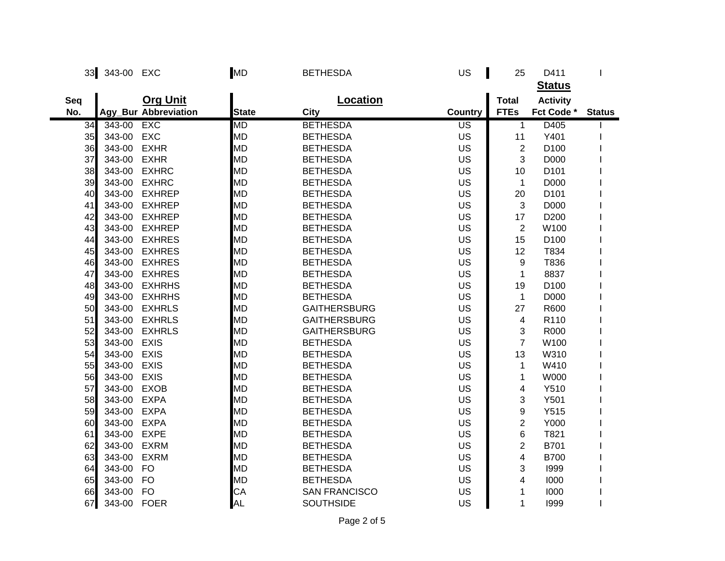|     | 33 343-00 EXC |                             | <b>MD</b>    | <b>BETHESDA</b>      | US        | 25                      | D411             |               |
|-----|---------------|-----------------------------|--------------|----------------------|-----------|-------------------------|------------------|---------------|
|     |               |                             |              |                      |           |                         | <b>Status</b>    |               |
| Seq |               | <b>Org Unit</b>             |              | <b>Location</b>      |           | <b>Total</b>            | <b>Activity</b>  |               |
| No. |               | <b>Agy_Bur Abbreviation</b> | <b>State</b> | City                 | Country   | <b>FTEs</b>             | Fct Code *       | <b>Status</b> |
| 34  | 343-00        | <b>EXC</b>                  | МD           | <b>BETHESDA</b>      | US        | $\mathbf{1}$            | D405             |               |
| 35  | 343-00        | <b>EXC</b>                  | <b>MD</b>    | <b>BETHESDA</b>      | US        | 11                      | Y401             |               |
| 36  | 343-00        | <b>EXHR</b>                 | <b>MD</b>    | <b>BETHESDA</b>      | US        | $\overline{2}$          | D <sub>100</sub> |               |
| 37  | 343-00        | <b>EXHR</b>                 | <b>MD</b>    | <b>BETHESDA</b>      | US        | 3                       | D000             |               |
| 38  | 343-00        | <b>EXHRC</b>                | <b>MD</b>    | <b>BETHESDA</b>      | US        | 10                      | D <sub>101</sub> |               |
| 39  | 343-00        | <b>EXHRC</b>                | <b>MD</b>    | <b>BETHESDA</b>      | US        | $\mathbf{1}$            | D000             |               |
| 40  | 343-00        | <b>EXHREP</b>               | MD           | <b>BETHESDA</b>      | US        | 20                      | D101             |               |
| 41  | 343-00        | <b>EXHREP</b>               | <b>MD</b>    | <b>BETHESDA</b>      | US        | 3                       | D000             |               |
| 42  | 343-00        | <b>EXHREP</b>               | <b>MD</b>    | <b>BETHESDA</b>      | US        | 17                      | D200             |               |
| 43  | 343-00        | <b>EXHREP</b>               | <b>MD</b>    | <b>BETHESDA</b>      | US        | $\overline{2}$          | W100             |               |
| 44  | 343-00        | <b>EXHRES</b>               | <b>MD</b>    | <b>BETHESDA</b>      | US        | 15                      | D <sub>100</sub> |               |
| 45  | 343-00        | <b>EXHRES</b>               | <b>MD</b>    | <b>BETHESDA</b>      | US        | 12                      | T834             |               |
| 46  | 343-00        | <b>EXHRES</b>               | <b>MD</b>    | <b>BETHESDA</b>      | <b>US</b> | 9                       | T836             |               |
| 47  | 343-00        | <b>EXHRES</b>               | <b>MD</b>    | <b>BETHESDA</b>      | US        | $\mathbf{1}$            | 8837             |               |
| 48  | 343-00        | <b>EXHRHS</b>               | <b>MD</b>    | <b>BETHESDA</b>      | US        | 19                      | D <sub>100</sub> |               |
| 49  | 343-00        | <b>EXHRHS</b>               | <b>MD</b>    | <b>BETHESDA</b>      | <b>US</b> | $\mathbf{1}$            | D000             |               |
| 50  | 343-00        | <b>EXHRLS</b>               | <b>MD</b>    | <b>GAITHERSBURG</b>  | US        | 27                      | R600             |               |
| 51  | 343-00        | <b>EXHRLS</b>               | <b>MD</b>    | <b>GAITHERSBURG</b>  | US        | 4                       | R110             |               |
| 52  | 343-00        | <b>EXHRLS</b>               | <b>MD</b>    | <b>GAITHERSBURG</b>  | US        | 3                       | R000             |               |
| 53  | 343-00        | <b>EXIS</b>                 | <b>MD</b>    | <b>BETHESDA</b>      | US        | $\overline{7}$          | W100             |               |
| 54  | 343-00        | <b>EXIS</b>                 | <b>MD</b>    | <b>BETHESDA</b>      | US        | 13                      | W310             |               |
| 55  | 343-00        | <b>EXIS</b>                 | <b>MD</b>    | <b>BETHESDA</b>      | US        | 1                       | W410             |               |
| 56  | 343-00        | <b>EXIS</b>                 | <b>MD</b>    | <b>BETHESDA</b>      | US        | 1                       | <b>W000</b>      |               |
| 57  | 343-00        | <b>EXOB</b>                 | <b>MD</b>    | <b>BETHESDA</b>      | US        | 4                       | Y510             |               |
| 58  | 343-00        | <b>EXPA</b>                 | <b>MD</b>    | <b>BETHESDA</b>      | US        | 3                       | Y501             |               |
| 59  | 343-00        | <b>EXPA</b>                 | <b>MD</b>    | <b>BETHESDA</b>      | US        | 9                       | Y515             |               |
| 60  | 343-00        | <b>EXPA</b>                 | <b>MD</b>    | <b>BETHESDA</b>      | US        | $\overline{2}$          | Y000             |               |
| 61  | 343-00        | <b>EXPE</b>                 | <b>MD</b>    | <b>BETHESDA</b>      | US        | 6                       | T821             |               |
| 62  | 343-00        | <b>EXRM</b>                 | <b>MD</b>    | <b>BETHESDA</b>      | US        | $\overline{2}$          | B701             |               |
| 63  | 343-00        | <b>EXRM</b>                 | <b>MD</b>    | <b>BETHESDA</b>      | US        | $\overline{\mathbf{4}}$ | <b>B700</b>      |               |
| 64  | 343-00        | <b>FO</b>                   | <b>MD</b>    | <b>BETHESDA</b>      | US        | 3                       | 1999             |               |
| 65  | 343-00        | <b>FO</b>                   | <b>MD</b>    | <b>BETHESDA</b>      | US        | 4                       | 1000             |               |
| 66  | 343-00        | <b>FO</b>                   | CA           | <b>SAN FRANCISCO</b> | US        | 1                       | 1000             |               |
| 67  | 343-00        | <b>FOER</b>                 | <b>AL</b>    | <b>SOUTHSIDE</b>     | US        | 1                       | 1999             |               |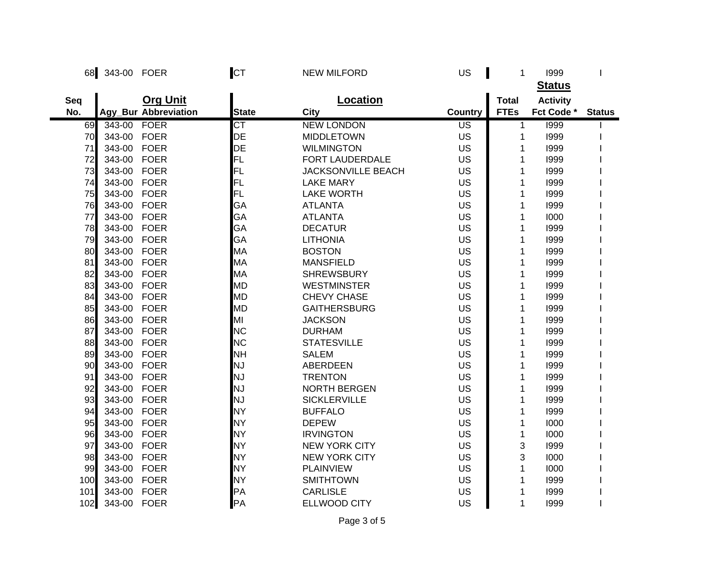| 68  | 343-00 FOER |                      | <b>CT</b>    | <b>NEW MILFORD</b>        | US        | 1            | 1999            |               |
|-----|-------------|----------------------|--------------|---------------------------|-----------|--------------|-----------------|---------------|
|     |             |                      |              |                           |           |              | <b>Status</b>   |               |
| Seq |             | <b>Org Unit</b>      |              | <b>Location</b>           |           | <b>Total</b> | <b>Activity</b> |               |
| No. |             | Agy_Bur Abbreviation | <b>State</b> | City                      | Country   | <b>FTEs</b>  | Fct Code *      | <b>Status</b> |
| 69  | 343-00      | <b>FOER</b>          | СT           | <b>NEW LONDON</b>         | US        | $\mathbf{1}$ | 1999            |               |
| 70  | 343-00      | <b>FOER</b>          | DE           | <b>MIDDLETOWN</b>         | US        | 1            | 1999            |               |
| 71  | 343-00      | <b>FOER</b>          | DE           | <b>WILMINGTON</b>         | <b>US</b> | 1            | 1999            |               |
| 72  | 343-00      | <b>FOER</b>          | FL           | FORT LAUDERDALE           | US        | 1            | 1999            |               |
| 73  | 343-00      | <b>FOER</b>          | FL           | <b>JACKSONVILLE BEACH</b> | US        | 1            | 1999            |               |
| 74  | 343-00      | <b>FOER</b>          | FL           | <b>LAKE MARY</b>          | US        | 1            | 1999            |               |
| 75  | 343-00      | <b>FOER</b>          | FL           | <b>LAKE WORTH</b>         | US        | 1            | 1999            |               |
| 76  | 343-00      | <b>FOER</b>          | GA           | <b>ATLANTA</b>            | US        | 1            | 1999            |               |
| 77  | 343-00      | <b>FOER</b>          | GA           | <b>ATLANTA</b>            | <b>US</b> | 1            | 1000            |               |
| 78  | 343-00      | <b>FOER</b>          | GA           | <b>DECATUR</b>            | US        | 1            | 1999            |               |
| 79  | 343-00      | <b>FOER</b>          | GA           | <b>LITHONIA</b>           | US        | 1            | 1999            |               |
| 80  | 343-00      | <b>FOER</b>          | MA           | <b>BOSTON</b>             | US        | 1            | 1999            |               |
| 81  | 343-00      | <b>FOER</b>          | MA           | <b>MANSFIELD</b>          | <b>US</b> | 1            | 1999            |               |
| 82  | 343-00      | <b>FOER</b>          | MA           | <b>SHREWSBURY</b>         | US        | 1            | 1999            |               |
| 83  | 343-00 FOER |                      | <b>MD</b>    | <b>WESTMINSTER</b>        | US        | 1            | 1999            |               |
| 84  | 343-00      | <b>FOER</b>          | <b>MD</b>    | <b>CHEVY CHASE</b>        | <b>US</b> | 1            | 1999            |               |
| 85  | 343-00      | <b>FOER</b>          | <b>MD</b>    | <b>GAITHERSBURG</b>       | US        | 1            | 1999            |               |
| 86  | 343-00      | <b>FOER</b>          | MI           | <b>JACKSON</b>            | <b>US</b> | 1            | 1999            |               |
| 87  | 343-00      | <b>FOER</b>          | <b>NC</b>    | <b>DURHAM</b>             | US        | 1            | 1999            |               |
| 88  | 343-00      | <b>FOER</b>          | <b>NC</b>    | <b>STATESVILLE</b>        | US        | 1            | 1999            |               |
| 89  | 343-00      | <b>FOER</b>          | <b>NH</b>    | <b>SALEM</b>              | US        | 1            | 1999            |               |
| 90  | 343-00      | <b>FOER</b>          | NJ           | <b>ABERDEEN</b>           | US        | 1            | 1999            |               |
| 91  | 343-00      | <b>FOER</b>          | NJ           | <b>TRENTON</b>            | US        | 1            | 1999            |               |
| 92  | 343-00      | <b>FOER</b>          | NJ           | <b>NORTH BERGEN</b>       | US        | 1            | 1999            |               |
| 93  | 343-00      | <b>FOER</b>          | NJ           | <b>SICKLERVILLE</b>       | US        | 1            | 1999            |               |
| 94  | 343-00      | <b>FOER</b>          | NY           | <b>BUFFALO</b>            | <b>US</b> | 1            | 1999            |               |
| 95  | 343-00      | <b>FOER</b>          | <b>NY</b>    | <b>DEPEW</b>              | US        | 1            | 1000            |               |
| 96  | 343-00      | <b>FOER</b>          | <b>NY</b>    | <b>IRVINGTON</b>          | US        | 1            | 1000            |               |
| 97  | 343-00      | <b>FOER</b>          | <b>NY</b>    | <b>NEW YORK CITY</b>      | US        | 3            | 1999            |               |
| 98  | 343-00      | <b>FOER</b>          | <b>NY</b>    | <b>NEW YORK CITY</b>      | US        | 3            | 1000            |               |
| 99  | 343-00      | <b>FOER</b>          | <b>NY</b>    | <b>PLAINVIEW</b>          | US        | 1            | 1000            |               |
| 100 | 343-00      | <b>FOER</b>          | <b>NY</b>    | <b>SMITHTOWN</b>          | US        | 1            | 1999            |               |
| 101 | 343-00      | <b>FOER</b>          | PA           | <b>CARLISLE</b>           | US        | 1            | 1999            |               |
| 102 | 343-00      | <b>FOER</b>          | PA           | <b>ELLWOOD CITY</b>       | US        | 1            | 1999            |               |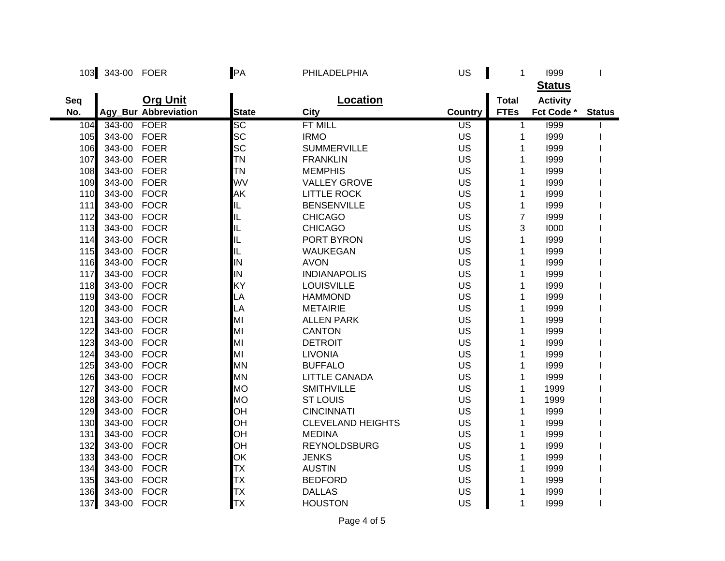| 103 | 343-00 FOER |                      | PA           | PHILADELPHIA             | US        | 1              | 1999            |               |
|-----|-------------|----------------------|--------------|--------------------------|-----------|----------------|-----------------|---------------|
|     |             |                      |              |                          |           |                | <b>Status</b>   |               |
| Seq |             | <b>Org Unit</b>      |              | Location                 |           | <b>Total</b>   | <b>Activity</b> |               |
| No. |             | Agy_Bur Abbreviation | <b>State</b> | <b>City</b>              | Country   | <b>FTEs</b>    | Fct Code *      | <b>Status</b> |
| 104 | 343-00      | <b>FOER</b>          | <b>SC</b>    | <b>FT MILL</b>           | US        | 1              | 1999            |               |
| 105 | 343-00      | <b>FOER</b>          | <b>SC</b>    | <b>IRMO</b>              | US        | 1              | 1999            |               |
| 106 | 343-00      | <b>FOER</b>          | <b>SC</b>    | <b>SUMMERVILLE</b>       | US        | 1              | 1999            |               |
| 107 | 343-00 FOER |                      | TN           | <b>FRANKLIN</b>          | US        | 1              | 1999            |               |
| 108 | 343-00 FOER |                      | lтn          | <b>MEMPHIS</b>           | US        | 1              | 1999            |               |
| 109 | 343-00 FOER |                      | WV           | <b>VALLEY GROVE</b>      | US        | 1              | 1999            |               |
| 110 | 343-00 FOCR |                      | <b>AK</b>    | <b>LITTLE ROCK</b>       | US        | 1              | 1999            |               |
| 111 | 343-00 FOCR |                      | IL           | <b>BENSENVILLE</b>       | US        | 1              | 1999            |               |
| 112 | 343-00 FOCR |                      | IL           | <b>CHICAGO</b>           | US        | $\overline{7}$ | 1999            |               |
| 113 | 343-00      | <b>FOCR</b>          | IL           | <b>CHICAGO</b>           | US        | 3              | 1000            |               |
| 114 | 343-00      | <b>FOCR</b>          | IL           | PORT BYRON               | US        | 1              | 1999            |               |
| 115 | 343-00 FOCR |                      | IL           | <b>WAUKEGAN</b>          | US        | 1              | 1999            |               |
| 116 | 343-00 FOCR |                      | IN           | <b>AVON</b>              | US        | 1              | 1999            |               |
| 117 | 343-00 FOCR |                      | IN           | <b>INDIANAPOLIS</b>      | <b>US</b> | 1              | 1999            |               |
| 118 | 343-00 FOCR |                      | KY           | <b>LOUISVILLE</b>        | US        | 1              | 1999            |               |
| 119 | 343-00 FOCR |                      | LA           | <b>HAMMOND</b>           | US        | 1              | 1999            |               |
| 120 | 343-00 FOCR |                      | LA           | <b>METAIRIE</b>          | US        | 1              | 1999            |               |
| 121 | 343-00      | <b>FOCR</b>          | MI           | <b>ALLEN PARK</b>        | <b>US</b> | 1              | 1999            |               |
| 122 | 343-00      | <b>FOCR</b>          | MI           | <b>CANTON</b>            | US        | 1              | 1999            |               |
| 123 | 343-00      | <b>FOCR</b>          | MI           | <b>DETROIT</b>           | US        | 1              | 1999            |               |
| 124 | 343-00 FOCR |                      | MI           | <b>LIVONIA</b>           | US        | 1              | 1999            |               |
| 125 | 343-00 FOCR |                      | <b>MN</b>    | <b>BUFFALO</b>           | US        | 1              | 1999            |               |
| 126 | 343-00 FOCR |                      | <b>MN</b>    | <b>LITTLE CANADA</b>     | US        | 1              | 1999            |               |
| 127 | 343-00 FOCR |                      | <b>MO</b>    | <b>SMITHVILLE</b>        | US        | 1              | 1999            |               |
| 128 | 343-00      | <b>FOCR</b>          | <b>MO</b>    | <b>ST LOUIS</b>          | US        | 1              | 1999            |               |
| 129 | 343-00      | <b>FOCR</b>          | <b>OH</b>    | <b>CINCINNATI</b>        | US        | 1              | 1999            |               |
| 130 | 343-00      | <b>FOCR</b>          | <b>OH</b>    | <b>CLEVELAND HEIGHTS</b> | US        | 1              | 1999            |               |
| 131 | 343-00      | <b>FOCR</b>          | OH           | <b>MEDINA</b>            | US        | 1              | 1999            |               |
| 132 | 343-00      | <b>FOCR</b>          | <b>OH</b>    | <b>REYNOLDSBURG</b>      | US        | 1              | 1999            |               |
| 133 | 343-00      | <b>FOCR</b>          | OK           | <b>JENKS</b>             | US        | 1              | 1999            |               |
| 134 | 343-00 FOCR |                      | TХ           | <b>AUSTIN</b>            | <b>US</b> | 1              | 1999            |               |
| 135 | 343-00      | <b>FOCR</b>          | TХ           | <b>BEDFORD</b>           | <b>US</b> | 1              | 1999            |               |
| 136 | 343-00      | <b>FOCR</b>          | TХ           | <b>DALLAS</b>            | US        | 1              | 1999            |               |
| 137 | 343-00 FOCR |                      | <b>TX</b>    | <b>HOUSTON</b>           | US        | 1              | 1999            |               |